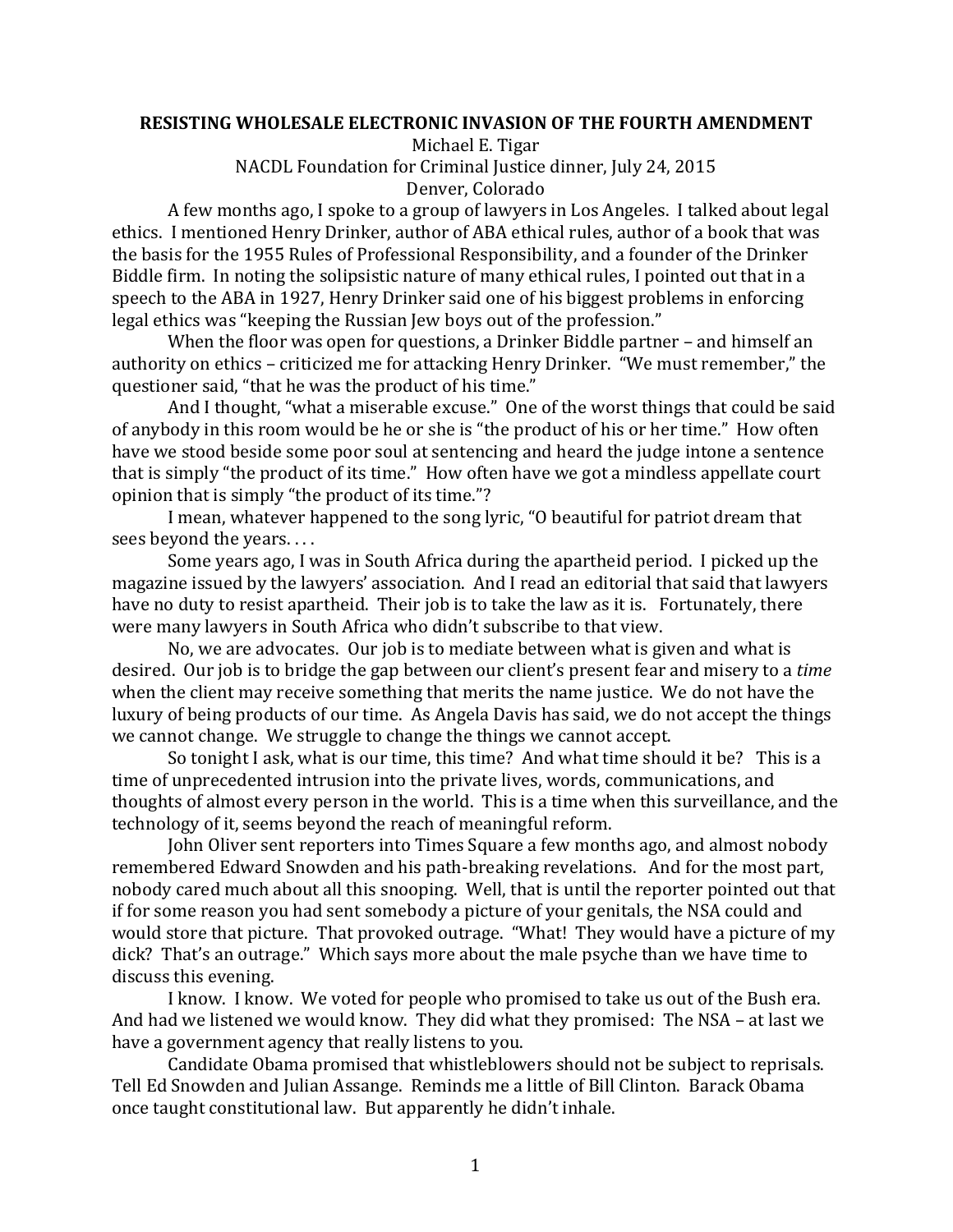## **RESISTING WHOLESALE ELECTRONIC INVASION OF THE FOURTH AMENDMENT**

Michael E. Tigar

NACDL Foundation for Criminal Justice dinner, July 24, 2015 Denver, Colorado

A few months ago, I spoke to a group of lawyers in Los Angeles. I talked about legal ethics. I mentioned Henry Drinker, author of ABA ethical rules, author of a book that was the basis for the 1955 Rules of Professional Responsibility, and a founder of the Drinker Biddle firm. In noting the solipsistic nature of many ethical rules, I pointed out that in a speech to the ABA in 1927, Henry Drinker said one of his biggest problems in enforcing legal ethics was "keeping the Russian Iew boys out of the profession."

When the floor was open for questions, a Drinker Biddle partner  $-$  and himself an authority on ethics – criticized me for attacking Henry Drinker. "We must remember," the questioner said, "that he was the product of his time."

And I thought, "what a miserable excuse." One of the worst things that could be said of anybody in this room would be he or she is "the product of his or her time." How often have we stood beside some poor soul at sentencing and heard the judge intone a sentence that is simply "the product of its time." How often have we got a mindless appellate court opinion that is simply "the product of its time."?

I mean, whatever happened to the song lyric, "O beautiful for patriot dream that sees beyond the years....

Some years ago, I was in South Africa during the apartheid period. I picked up the magazine issued by the lawyers' association. And I read an editorial that said that lawyers have no duty to resist apartheid. Their job is to take the law as it is. Fortunately, there were many lawyers in South Africa who didn't subscribe to that view.

No, we are advocates. Our job is to mediate between what is given and what is desired. Our job is to bridge the gap between our client's present fear and misery to a *time* when the client may receive something that merits the name justice. We do not have the luxury of being products of our time. As Angela Davis has said, we do not accept the things we cannot change. We struggle to change the things we cannot accept.

So tonight I ask, what is our time, this time? And what time should it be? This is a time of unprecedented intrusion into the private lives, words, communications, and thoughts of almost every person in the world. This is a time when this surveillance, and the technology of it, seems beyond the reach of meaningful reform.

John Oliver sent reporters into Times Square a few months ago, and almost nobody remembered Edward Snowden and his path-breaking revelations. And for the most part, nobody cared much about all this snooping. Well, that is until the reporter pointed out that if for some reason you had sent somebody a picture of your genitals, the NSA could and would store that picture. That provoked outrage. "What! They would have a picture of my dick? That's an outrage." Which says more about the male psyche than we have time to discuss this evening.

I know. I know. We voted for people who promised to take us out of the Bush era. And had we listened we would know. They did what they promised: The NSA – at last we have a government agency that really listens to you.

Candidate Obama promised that whistleblowers should not be subject to reprisals. Tell Ed Snowden and Julian Assange. Reminds me a little of Bill Clinton. Barack Obama once taught constitutional law. But apparently he didn't inhale.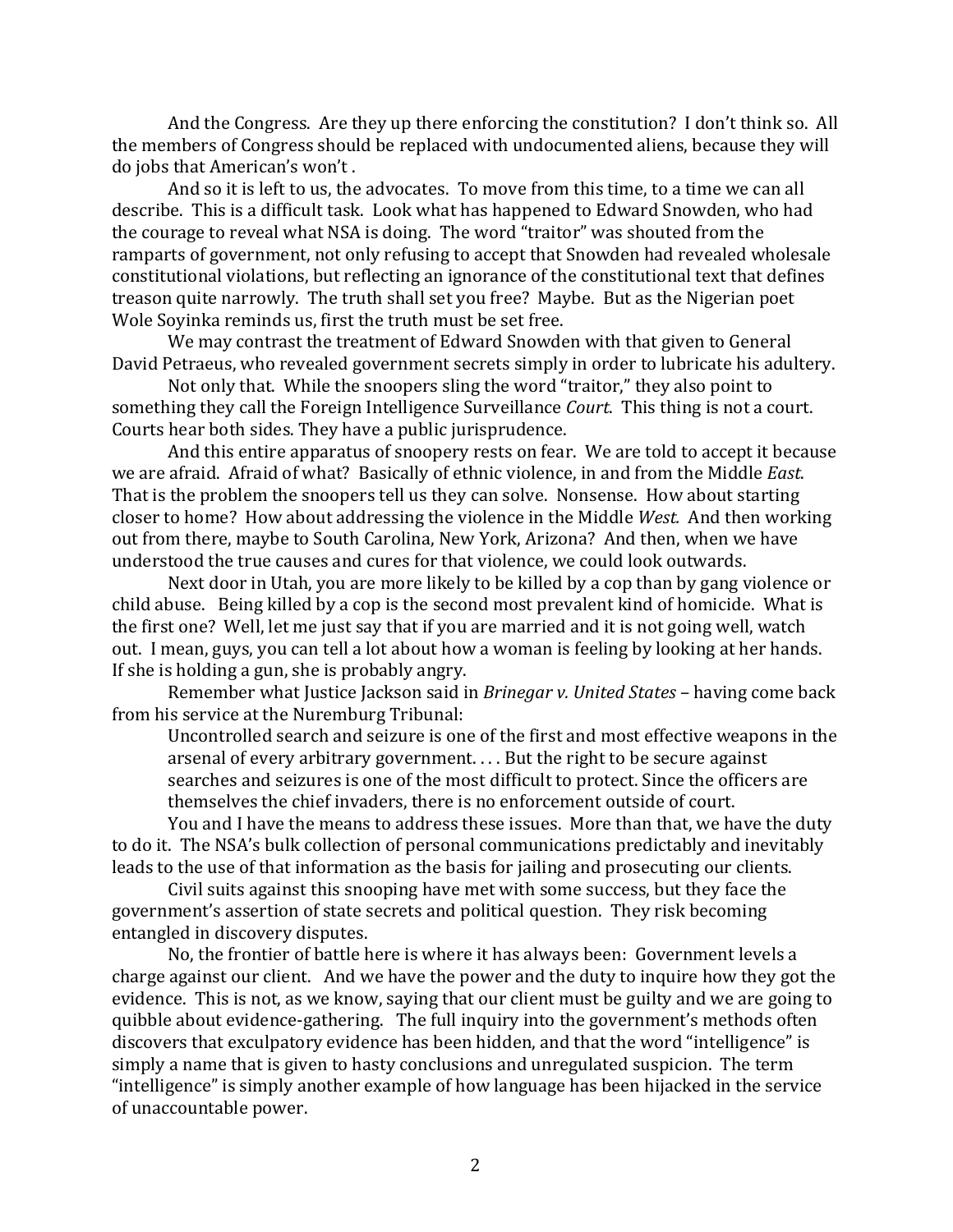And the Congress. Are they up there enforcing the constitution? I don't think so. All the members of Congress should be replaced with undocumented aliens, because they will do jobs that American's won't.

And so it is left to us, the advocates. To move from this time, to a time we can all describe. This is a difficult task. Look what has happened to Edward Snowden, who had the courage to reveal what NSA is doing. The word "traitor" was shouted from the ramparts of government, not only refusing to accept that Snowden had revealed wholesale constitutional violations, but reflecting an ignorance of the constitutional text that defines treason quite narrowly. The truth shall set you free? Maybe. But as the Nigerian poet Wole Sovinka reminds us, first the truth must be set free.

We may contrast the treatment of Edward Snowden with that given to General David Petraeus, who revealed government secrets simply in order to lubricate his adultery.

Not only that. While the snoopers sling the word "traitor," they also point to something they call the Foreign Intelligence Surveillance *Court*. This thing is not a court. Courts hear both sides. They have a public jurisprudence.

And this entire apparatus of snoopery rests on fear. We are told to accept it because we are afraid. Afraid of what? Basically of ethnic violence, in and from the Middle *East*. That is the problem the snoopers tell us they can solve. Nonsense. How about starting closer to home? How about addressing the violence in the Middle West. And then working out from there, maybe to South Carolina, New York, Arizona? And then, when we have understood the true causes and cures for that violence, we could look outwards.

Next door in Utah, you are more likely to be killed by a cop than by gang violence or child abuse. Being killed by a cop is the second most prevalent kind of homicide. What is the first one? Well, let me just say that if you are married and it is not going well, watch out. I mean, guys, you can tell a lot about how a woman is feeling by looking at her hands. If she is holding a gun, she is probably angry.

Remember what Justice Jackson said in *Brinegar v. United States* - having come back from his service at the Nuremburg Tribunal:

Uncontrolled search and seizure is one of the first and most effective weapons in the arsenal of every arbitrary government.  $\ldots$  But the right to be secure against searches and seizures is one of the most difficult to protect. Since the officers are themselves the chief invaders, there is no enforcement outside of court.

You and I have the means to address these issues. More than that, we have the duty to do it. The NSA's bulk collection of personal communications predictably and inevitably leads to the use of that information as the basis for jailing and prosecuting our clients.

Civil suits against this snooping have met with some success, but they face the government's assertion of state secrets and political question. They risk becoming entangled in discovery disputes.

No, the frontier of battle here is where it has always been: Government levels a charge against our client. And we have the power and the duty to inquire how they got the evidence. This is not, as we know, saying that our client must be guilty and we are going to quibble about evidence-gathering. The full inquiry into the government's methods often discovers that exculpatory evidence has been hidden, and that the word "intelligence" is simply a name that is given to hasty conclusions and unregulated suspicion. The term "intelligence" is simply another example of how language has been hijacked in the service of unaccountable power.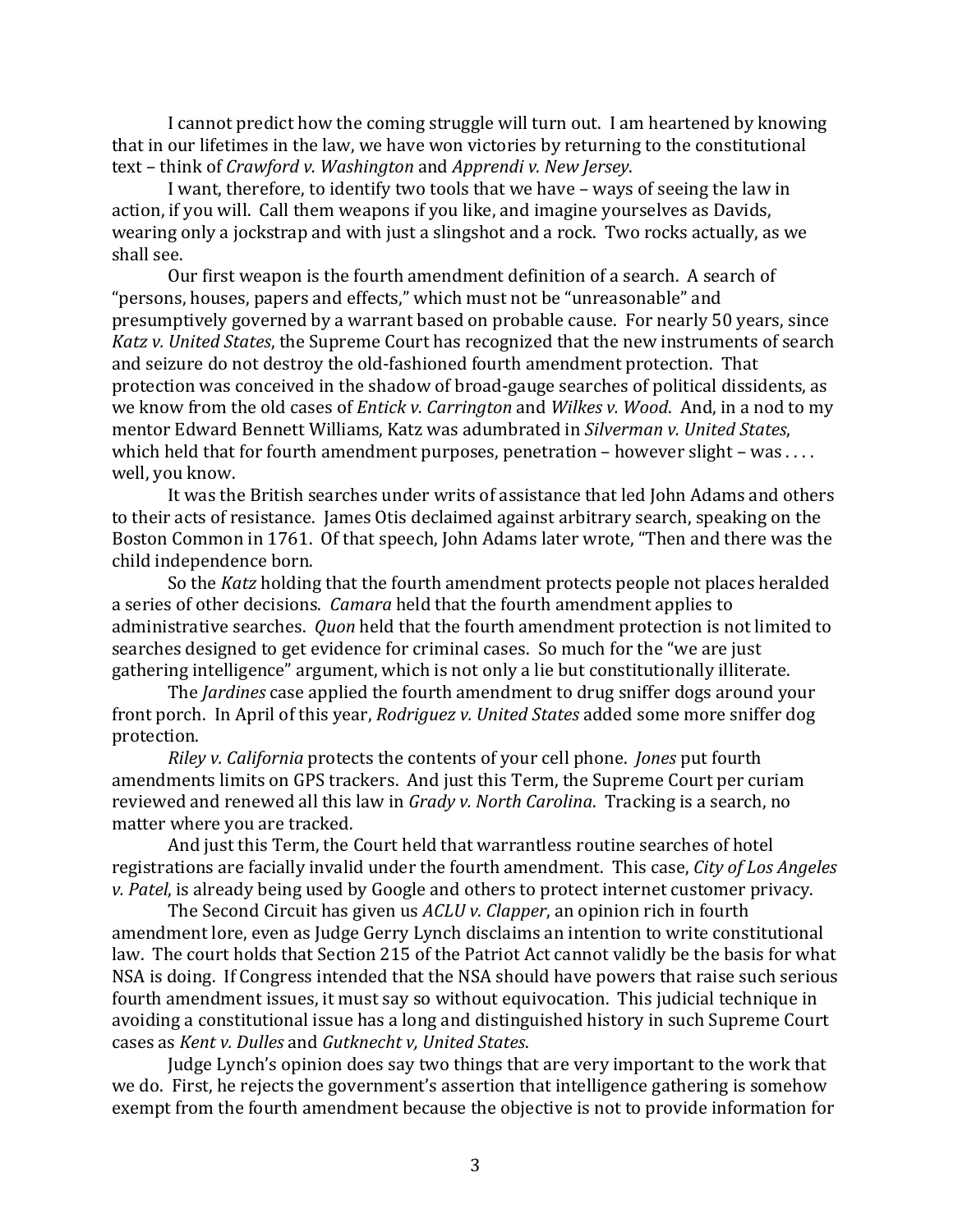I cannot predict how the coming struggle will turn out. I am heartened by knowing that in our lifetimes in the law, we have won victories by returning to the constitutional text – think of *Crawford v. Washington* and *Apprendi v. New Jersey.* 

I want, therefore, to identify two tools that we have – ways of seeing the law in action, if you will. Call them weapons if you like, and imagine yourselves as Davids, wearing only a jockstrap and with just a slingshot and a rock. Two rocks actually, as we shall see.

Our first weapon is the fourth amendment definition of a search. A search of "persons, houses, papers and effects," which must not be "unreasonable" and presumptively governed by a warrant based on probable cause. For nearly 50 years, since *Katz v. United States*, the Supreme Court has recognized that the new instruments of search and seizure do not destroy the old-fashioned fourth amendment protection. That protection was conceived in the shadow of broad-gauge searches of political dissidents, as we know from the old cases of *Entick v. Carrington* and *Wilkes v. Wood.* And, in a nod to my mentor Edward Bennett Williams, Katz was adumbrated in *Silverman v. United States*, which held that for fourth amendment purposes, penetration  $-$  however slight  $-$  was .... well, you know.

It was the British searches under writs of assistance that led John Adams and others to their acts of resistance. James Otis declaimed against arbitrary search, speaking on the Boston Common in 1761. Of that speech, John Adams later wrote, "Then and there was the child independence born.

So the *Katz* holding that the fourth amendment protects people not places heralded a series of other decisions. *Camara* held that the fourth amendment applies to administrative searches. *Quon* held that the fourth amendment protection is not limited to searches designed to get evidence for criminal cases. So much for the "we are just gathering intelligence" argument, which is not only a lie but constitutionally illiterate.

The *Jardines* case applied the fourth amendment to drug sniffer dogs around your front porch. In April of this year, *Rodriguez v. United States* added some more sniffer dog protection. 

*Riley v. California* protects the contents of your cell phone. *Jones* put fourth amendments limits on GPS trackers. And just this Term, the Supreme Court per curiam reviewed and renewed all this law in *Grady v. North Carolina*. Tracking is a search, no matter where you are tracked.

And just this Term, the Court held that warrantless routine searches of hotel registrations are facially invalid under the fourth amendment. This case, *City of Los Angeles v. Patel*, is already being used by Google and others to protect internet customer privacy.

The Second Circuit has given us *ACLU v. Clapper*, an opinion rich in fourth amendment lore, even as Judge Gerry Lynch disclaims an intention to write constitutional law. The court holds that Section 215 of the Patriot Act cannot validly be the basis for what NSA is doing. If Congress intended that the NSA should have powers that raise such serious fourth amendment issues, it must say so without equivocation. This judicial technique in avoiding a constitutional issue has a long and distinguished history in such Supreme Court cases as *Kent v. Dulles* and *Gutknecht v, United States*. 

Judge Lynch's opinion does say two things that are very important to the work that we do. First, he rejects the government's assertion that intelligence gathering is somehow exempt from the fourth amendment because the objective is not to provide information for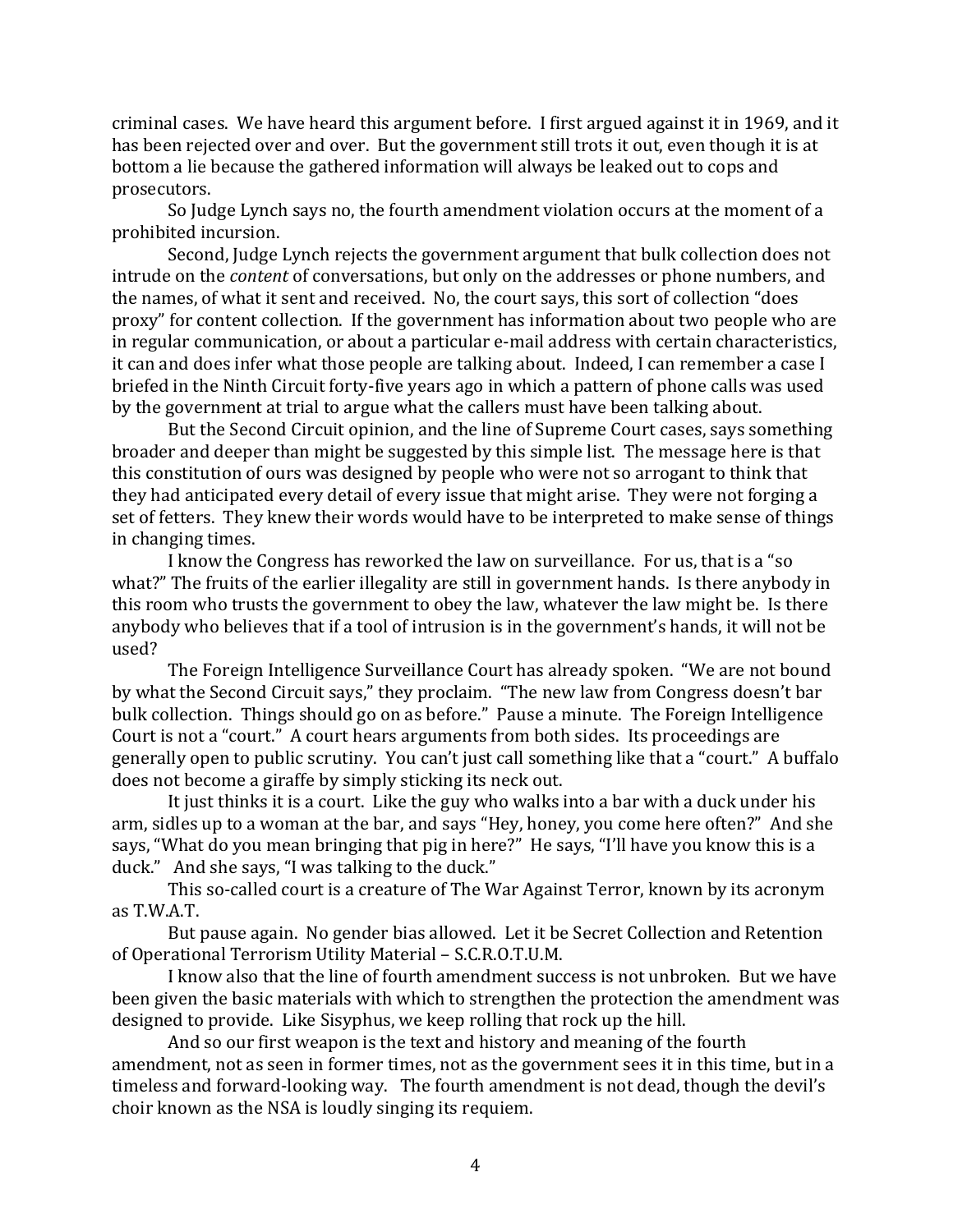criminal cases. We have heard this argument before. I first argued against it in 1969, and it has been rejected over and over. But the government still trots it out, even though it is at bottom a lie because the gathered information will always be leaked out to cops and prosecutors. 

So Judge Lynch says no, the fourth amendment violation occurs at the moment of a prohibited incursion.

Second, Judge Lynch rejects the government argument that bulk collection does not intrude on the *content* of conversations, but only on the addresses or phone numbers, and the names, of what it sent and received. No, the court says, this sort of collection "does proxy" for content collection. If the government has information about two people who are in regular communication, or about a particular e-mail address with certain characteristics, it can and does infer what those people are talking about. Indeed, I can remember a case I briefed in the Ninth Circuit forty-five years ago in which a pattern of phone calls was used by the government at trial to argue what the callers must have been talking about.

But the Second Circuit opinion, and the line of Supreme Court cases, says something broader and deeper than might be suggested by this simple list. The message here is that this constitution of ours was designed by people who were not so arrogant to think that they had anticipated every detail of every issue that might arise. They were not forging a set of fetters. They knew their words would have to be interpreted to make sense of things in changing times.

I know the Congress has reworked the law on surveillance. For us, that is a "so what?" The fruits of the earlier illegality are still in government hands. Is there anybody in this room who trusts the government to obey the law, whatever the law might be. Is there anybody who believes that if a tool of intrusion is in the government's hands, it will not be used? 

The Foreign Intelligence Surveillance Court has already spoken. "We are not bound by what the Second Circuit says," they proclaim. "The new law from Congress doesn't bar bulk collection. Things should go on as before." Pause a minute. The Foreign Intelligence Court is not a "court." A court hears arguments from both sides. Its proceedings are generally open to public scrutiny. You can't just call something like that a "court." A buffalo does not become a giraffe by simply sticking its neck out.

It just thinks it is a court. Like the guy who walks into a bar with a duck under his arm, sidles up to a woman at the bar, and says "Hey, honey, you come here often?" And she says, "What do you mean bringing that pig in here?" He says, "I'll have you know this is a duck." And she says, "I was talking to the duck."

This so-called court is a creature of The War Against Terror, known by its acronym as T.W.A.T. 

But pause again. No gender bias allowed. Let it be Secret Collection and Retention of Operational Terrorism Utility Material - S.C.R.O.T.U.M.

I know also that the line of fourth amendment success is not unbroken. But we have been given the basic materials with which to strengthen the protection the amendment was designed to provide. Like Sisyphus, we keep rolling that rock up the hill.

And so our first weapon is the text and history and meaning of the fourth amendment, not as seen in former times, not as the government sees it in this time, but in a timeless and forward-looking way. The fourth amendment is not dead, though the devil's choir known as the NSA is loudly singing its requiem.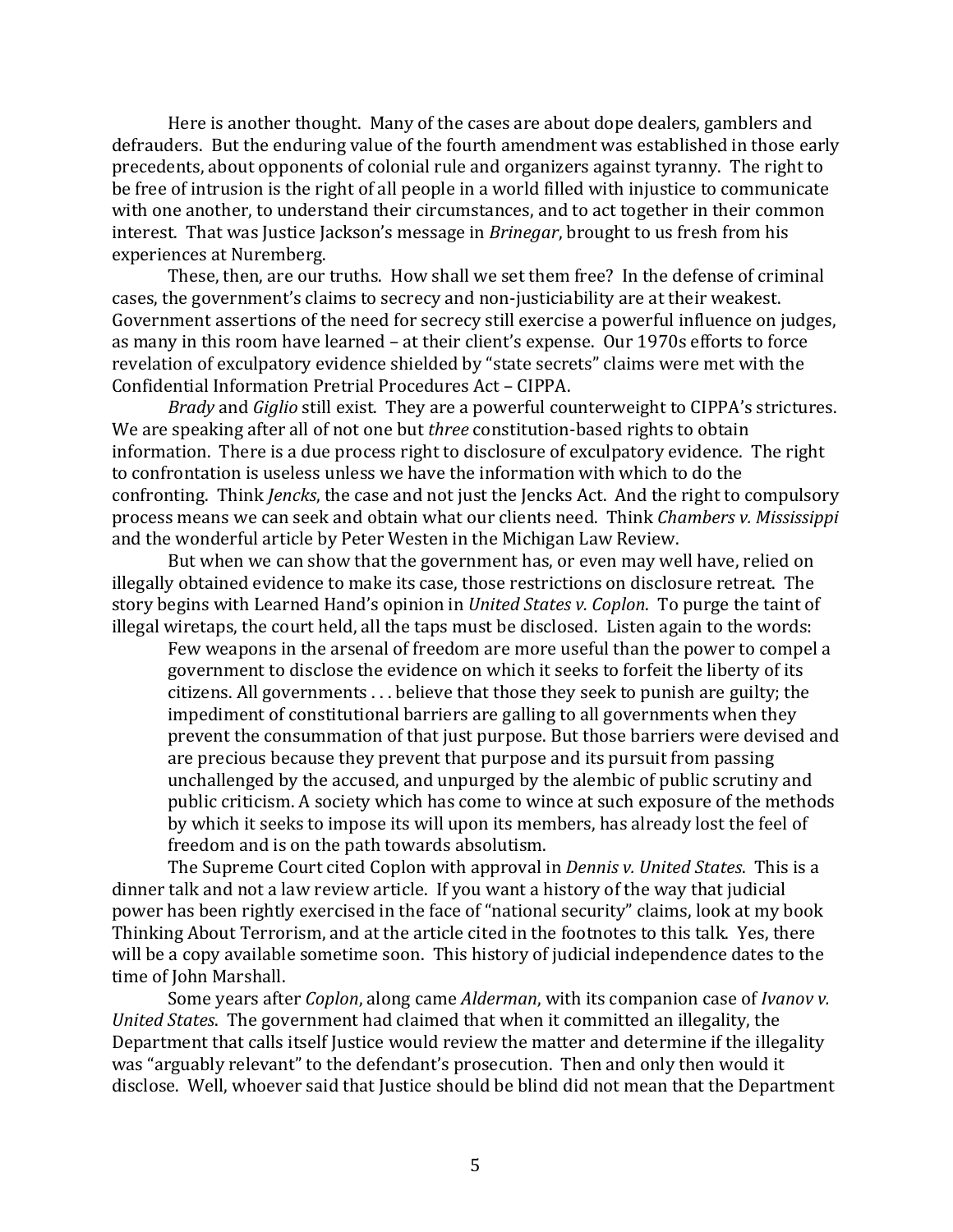Here is another thought. Many of the cases are about dope dealers, gamblers and defrauders. But the enduring value of the fourth amendment was established in those early precedents, about opponents of colonial rule and organizers against tyranny. The right to be free of intrusion is the right of all people in a world filled with injustice to communicate with one another, to understand their circumstances, and to act together in their common interest. That was Justice Jackson's message in *Brinegar*, brought to us fresh from his experiences at Nuremberg.

These, then, are our truths. How shall we set them free? In the defense of criminal cases, the government's claims to secrecy and non-justiciability are at their weakest. Government assertions of the need for secrecy still exercise a powerful influence on judges, as many in this room have learned - at their client's expense. Our 1970s efforts to force revelation of exculpatory evidence shielded by "state secrets" claims were met with the Confidential Information Pretrial Procedures Act - CIPPA.

*Brady* and *Giglio* still exist. They are a powerful counterweight to CIPPA's strictures. We are speaking after all of not one but *three* constitution-based rights to obtain information. There is a due process right to disclosure of exculpatory evidence. The right to confrontation is useless unless we have the information with which to do the confronting. Think *Jencks*, the case and not just the Jencks Act. And the right to compulsory process means we can seek and obtain what our clients need. Think *Chambers v. Mississippi* and the wonderful article by Peter Westen in the Michigan Law Review.

But when we can show that the government has, or even may well have, relied on illegally obtained evidence to make its case, those restrictions on disclosure retreat. The story begins with Learned Hand's opinion in *United States v. Coplon*. To purge the taint of illegal wiretaps, the court held, all the taps must be disclosed. Listen again to the words:

Few weapons in the arsenal of freedom are more useful than the power to compel a government to disclose the evidence on which it seeks to forfeit the liberty of its  $c$ itizens. All governments  $\dots$  believe that those they seek to punish are guilty; the impediment of constitutional barriers are galling to all governments when they prevent the consummation of that just purpose. But those barriers were devised and are precious because they prevent that purpose and its pursuit from passing unchallenged by the accused, and unpurged by the alembic of public scrutiny and public criticism. A society which has come to wince at such exposure of the methods by which it seeks to impose its will upon its members, has already lost the feel of freedom and is on the path towards absolutism.

The Supreme Court cited Coplon with approval in *Dennis v. United States*. This is a dinner talk and not a law review article. If you want a history of the way that judicial power has been rightly exercised in the face of "national security" claims, look at my book Thinking About Terrorism, and at the article cited in the footnotes to this talk. Yes, there will be a copy available sometime soon. This history of judicial independence dates to the time of John Marshall.

Some years after *Coplon*, along came *Alderman*, with its companion case of *Ivanov v. United States*. The government had claimed that when it committed an illegality, the Department that calls itself Justice would review the matter and determine if the illegality was "arguably relevant" to the defendant's prosecution. Then and only then would it disclose. Well, whoever said that Justice should be blind did not mean that the Department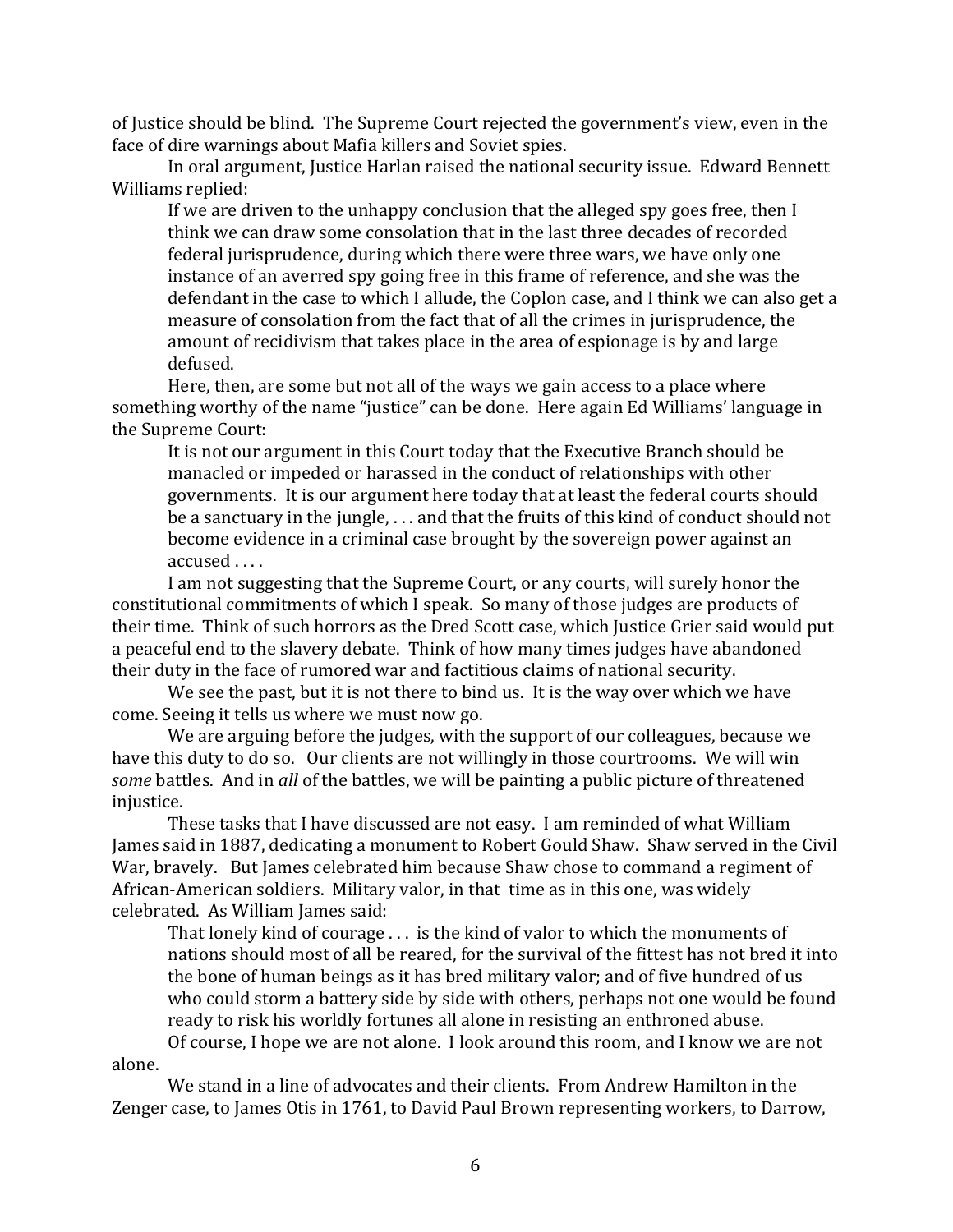of Justice should be blind. The Supreme Court rejected the government's view, even in the face of dire warnings about Mafia killers and Soviet spies.

In oral argument, Justice Harlan raised the national security issue. Edward Bennett Williams replied:

If we are driven to the unhappy conclusion that the alleged spy goes free, then I think we can draw some consolation that in the last three decades of recorded federal jurisprudence, during which there were three wars, we have only one instance of an averred spy going free in this frame of reference, and she was the defendant in the case to which I allude, the Coplon case, and I think we can also get a measure of consolation from the fact that of all the crimes in jurisprudence, the amount of recidivism that takes place in the area of espionage is by and large defused.

Here, then, are some but not all of the ways we gain access to a place where something worthy of the name "justice" can be done. Here again Ed Williams' language in the Supreme Court:

It is not our argument in this Court today that the Executive Branch should be manacled or impeded or harassed in the conduct of relationships with other governments. It is our argument here today that at least the federal courts should be a sanctuary in the jungle,  $\dots$  and that the fruits of this kind of conduct should not become evidence in a criminal case brought by the sovereign power against an accused ....

I am not suggesting that the Supreme Court, or any courts, will surely honor the constitutional commitments of which I speak. So many of those judges are products of their time. Think of such horrors as the Dred Scott case, which Justice Grier said would put a peaceful end to the slavery debate. Think of how many times judges have abandoned their duty in the face of rumored war and factitious claims of national security.

We see the past, but it is not there to bind us. It is the way over which we have come. Seeing it tells us where we must now go.

We are arguing before the judges, with the support of our colleagues, because we have this duty to do so. Our clients are not willingly in those courtrooms. We will win *some* battles. And in *all* of the battles, we will be painting a public picture of threatened injustice.

These tasks that I have discussed are not easy. I am reminded of what William James said in 1887, dedicating a monument to Robert Gould Shaw. Shaw served in the Civil War, bravely. But James celebrated him because Shaw chose to command a regiment of African-American soldiers. Military valor, in that time as in this one, was widely celebrated. As William James said:

That lonely kind of courage  $\dots$  is the kind of valor to which the monuments of nations should most of all be reared, for the survival of the fittest has not bred it into the bone of human beings as it has bred military valor; and of five hundred of us who could storm a battery side by side with others, perhaps not one would be found ready to risk his worldly fortunes all alone in resisting an enthroned abuse. Of course, I hope we are not alone. I look around this room, and I know we are not

alone. 

We stand in a line of advocates and their clients. From Andrew Hamilton in the Zenger case, to James Otis in 1761, to David Paul Brown representing workers, to Darrow,